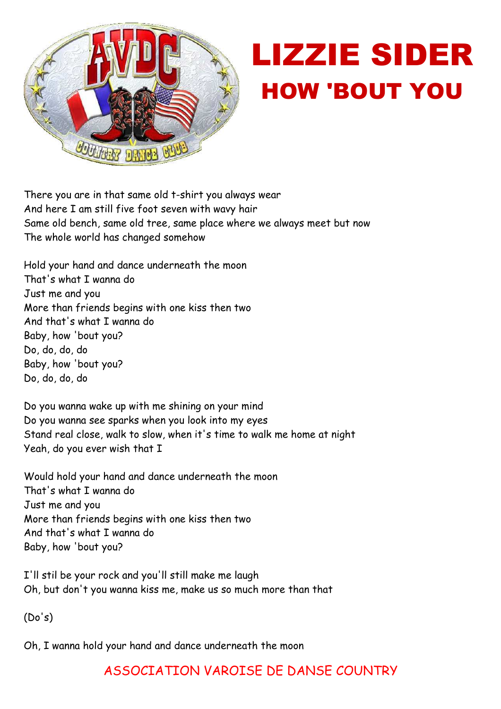

## LIZZIE SIDER HOW 'BOUT YOU

There you are in that same old t-shirt you always wear And here I am still five foot seven with wavy hair Same old bench, same old tree, same place where we always meet but now The whole world has changed somehow

Hold your hand and dance underneath the moon That's what I wanna do Just me and you More than friends begins with one kiss then two And that's what I wanna do Baby, how 'bout you? Do, do, do, do Baby, how 'bout you? Do, do, do, do

Do you wanna wake up with me shining on your mind Do you wanna see sparks when you look into my eyes Stand real close, walk to slow, when it's time to walk me home at night Yeah, do you ever wish that I

Would hold your hand and dance underneath the moon That's what I wanna do Just me and you More than friends begins with one kiss then two And that's what I wanna do Baby, how 'bout you?

I'll stil be your rock and you'll still make me laugh Oh, but don't you wanna kiss me, make us so much more than that

(Do's)

Oh, I wanna hold your hand and dance underneath the moon

## ASSOCIATION VAROISE DE DANSE COUNTRY